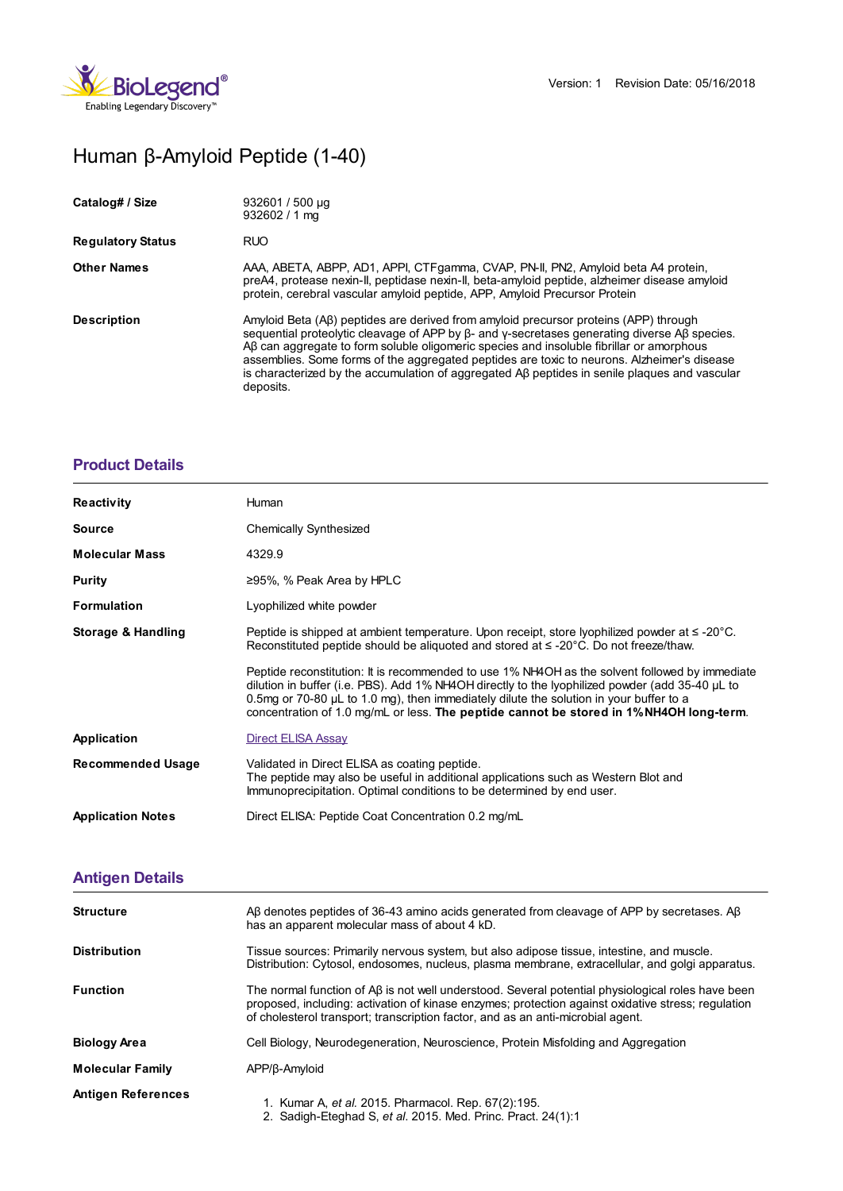

# Human β-Amyloid Peptide (1-40)

| Catalog# / Size          | 932601 / 500 µg<br>$932602 / 1$ ma                                                                                                                                                                                                                                                                                                                                                                                                                                                                   |
|--------------------------|------------------------------------------------------------------------------------------------------------------------------------------------------------------------------------------------------------------------------------------------------------------------------------------------------------------------------------------------------------------------------------------------------------------------------------------------------------------------------------------------------|
| <b>Regulatory Status</b> | <b>RUO</b>                                                                                                                                                                                                                                                                                                                                                                                                                                                                                           |
| <b>Other Names</b>       | AAA, ABETA, ABPP, AD1, APPI, CTFgamma, CVAP, PN-II, PN2, Amyloid beta A4 protein,<br>preA4, protease nexin-II, peptidase nexin-II, beta-amyloid peptide, alzheimer disease amyloid<br>protein, cerebral vascular amyloid peptide, APP, Amyloid Precursor Protein                                                                                                                                                                                                                                     |
| <b>Description</b>       | Amyloid Beta (AB) peptides are derived from amyloid precursor proteins (APP) through<br>sequential proteolytic cleavage of APP by $\beta$ - and y-secretases generating diverse Aß species.<br>AB can aggregate to form soluble oligomeric species and insoluble fibrillar or amorphous<br>assemblies. Some forms of the aggregated peptides are toxic to neurons. Alzheimer's disease<br>is characterized by the accumulation of aggregated AB peptides in senile plaques and vascular<br>deposits. |

## **[Product](https://www.biolegend.com/en-gb/products/human-beta-amyloid-peptide-1-40-15882?pdf=true&displayInline=true&leftRightMargin=15&topBottomMargin=15&filename=Human %EF%BF%BD%EF%BF%BD-Amyloid Peptide (1-40).pdf#productDetails) Details**

| <b>Reactivity</b>        | Human                                                                                                                                                                                                                                                                                                                                                                                       |
|--------------------------|---------------------------------------------------------------------------------------------------------------------------------------------------------------------------------------------------------------------------------------------------------------------------------------------------------------------------------------------------------------------------------------------|
| <b>Source</b>            | Chemically Synthesized                                                                                                                                                                                                                                                                                                                                                                      |
| <b>Molecular Mass</b>    | 4329.9                                                                                                                                                                                                                                                                                                                                                                                      |
| <b>Purity</b>            | $\geq$ 95%, % Peak Area by HPLC                                                                                                                                                                                                                                                                                                                                                             |
| <b>Formulation</b>       | Lyophilized white powder                                                                                                                                                                                                                                                                                                                                                                    |
| Storage & Handling       | Peptide is shipped at ambient temperature. Upon receipt, store lyophilized powder at $\leq$ -20°C.<br>Reconstituted peptide should be aliquoted and stored at $\leq$ -20 $^{\circ}$ C. Do not freeze/thaw.                                                                                                                                                                                  |
|                          | Peptide reconstitution: It is recommended to use 1% NH4OH as the solvent followed by immediate<br>dilution in buffer (i.e. PBS). Add 1% NH4OH directly to the lyophilized powder (add 35-40 µL to<br>0.5mg or 70-80 $\mu$ L to 1.0 mg), then immediately dilute the solution in your buffer to a<br>concentration of 1.0 mg/mL or less. The peptide cannot be stored in 1% NH4OH long-term. |
| Application              | Direct ELISA Assay                                                                                                                                                                                                                                                                                                                                                                          |
| <b>Recommended Usage</b> | Validated in Direct ELISA as coating peptide.<br>The peptide may also be useful in additional applications such as Western Blot and<br>Immunoprecipitation. Optimal conditions to be determined by end user.                                                                                                                                                                                |
| <b>Application Notes</b> | Direct ELISA: Peptide Coat Concentration 0.2 mg/mL                                                                                                                                                                                                                                                                                                                                          |

# **[Antigen](https://www.biolegend.com/en-gb/products/human-beta-amyloid-peptide-1-40-15882?pdf=true&displayInline=true&leftRightMargin=15&topBottomMargin=15&filename=Human %EF%BF%BD%EF%BF%BD-Amyloid Peptide (1-40).pdf#antigenDetails) Details**

| <b>Structure</b>          | Aβ denotes peptides of 36-43 amino acids generated from cleavage of APP by secretases. Aβ<br>has an apparent molecular mass of about 4 kD.                                                                                                                                                 |
|---------------------------|--------------------------------------------------------------------------------------------------------------------------------------------------------------------------------------------------------------------------------------------------------------------------------------------|
| <b>Distribution</b>       | Tissue sources: Primarily nervous system, but also adipose tissue, intestine, and muscle.<br>Distribution: Cytosol, endosomes, nucleus, plasma membrane, extracellular, and golgi apparatus.                                                                                               |
| <b>Function</b>           | The normal function of AB is not well understood. Several potential physiological roles have been<br>proposed, including: activation of kinase enzymes; protection against oxidative stress; regulation<br>of cholesterol transport; transcription factor, and as an anti-microbial agent. |
| <b>Biology Area</b>       | Cell Biology, Neurodegeneration, Neuroscience, Protein Misfolding and Aggregation                                                                                                                                                                                                          |
| <b>Molecular Family</b>   | APP/ß-Amyloid                                                                                                                                                                                                                                                                              |
| <b>Antigen References</b> | 1. Kumar A, et al. 2015. Pharmacol. Rep. 67(2):195.<br>2. Sadigh-Eteghad S, et al. 2015. Med. Princ. Pract. 24(1):1                                                                                                                                                                        |